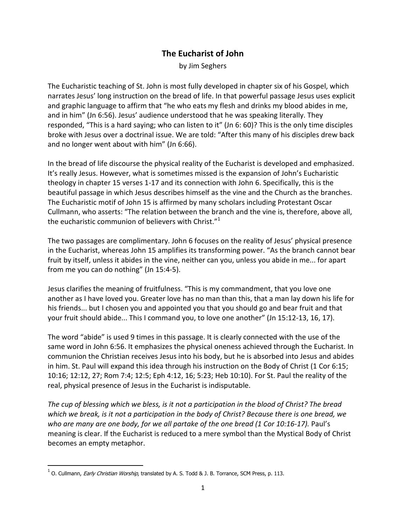## **The Eucharist of John**

by Jim Seghers

The Eucharistic teaching of St. John is most fully developed in chapter six of his Gospel, which narrates Jesus' long instruction on the bread of life. In that powerful passage Jesus uses explicit and graphic language to affirm that "he who eats my flesh and drinks my blood abides in me, and in him" (Jn 6:56). Jesus' audience understood that he was speaking literally. They responded, "This is a hard saying; who can listen to it" (Jn 6: 60)? This is the only time disciples broke with Jesus over a doctrinal issue. We are told: "After this many of his disciples drew back and no longer went about with him" (Jn 6:66).

In the bread of life discourse the physical reality of the Eucharist is developed and emphasized. It's really Jesus. However, what is sometimes missed is the expansion of John's Eucharistic theology in chapter 15 verses 1-17 and its connection with John 6. Specifically, this is the beautiful passage in which Jesus describes himself as the vine and the Church as the branches. The Eucharistic motif of John 15 is affirmed by many scholars including Protestant Oscar Cullmann, who asserts: "The relation between the branch and the vine is, therefore, above all, the eucharistic communion of believers with Christ." $1$ 

The two passages are complimentary. John 6 focuses on the reality of Jesus' physical presence in the Eucharist, whereas John 15 amplifies its transforming power. "As the branch cannot bear fruit by itself, unless it abides in the vine, neither can you, unless you abide in me... for apart from me you can do nothing" (Jn 15:4-5).

Jesus clarifies the meaning of fruitfulness. "This is my commandment, that you love one another as I have loved you. Greater love has no man than this, that a man lay down his life for his friends... but I chosen you and appointed you that you should go and bear fruit and that your fruit should abide... This I command you, to love one another" (Jn 15:12-13, 16, 17).

The word "abide" is used 9 times in this passage. It is clearly connected with the use of the same word in John 6:56. It emphasizes the physical oneness achieved through the Eucharist. In communion the Christian receives Jesus into his body, but he is absorbed into Jesus and abides in him. St. Paul will expand this idea through his instruction on the Body of Christ (1 Cor 6:15; 10:16; 12:12, 27; Rom 7:4; 12:5; Eph 4:12, 16; 5:23; Heb 10:10). For St. Paul the reality of the real, physical presence of Jesus in the Eucharist is indisputable.

*The cup of blessing which we bless, is it not a participation in the blood of Christ? The bread which we break, is it not a participation in the body of Christ? Because there is one bread, we who are many are one body, for we all partake of the one bread (1 Cor 10:16-17).* Paul's meaning is clear. If the Eucharist is reduced to a mere symbol than the Mystical Body of Christ becomes an empty metaphor.

-

<sup>&</sup>lt;sup>1</sup> O. Cullmann, *Early Christian Worship*, translated by A. S. Todd & J. B. Torrance, SCM Press, p. 113.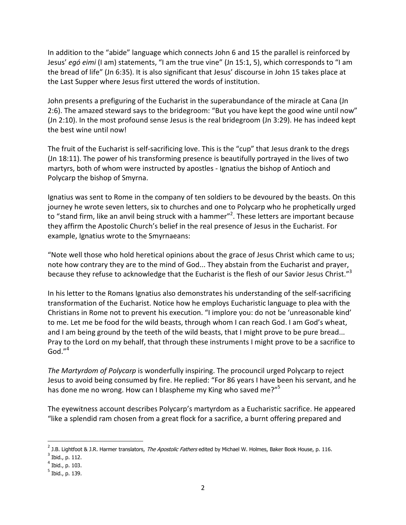In addition to the "abide" language which connects John 6 and 15 the parallel is reinforced by Jesus' *egó eimi* (I am) statements, "I am the true vine" (Jn 15:1, 5), which corresponds to "I am the bread of life" (Jn 6:35). It is also significant that Jesus' discourse in John 15 takes place at the Last Supper where Jesus first uttered the words of institution.

John presents a prefiguring of the Eucharist in the superabundance of the miracle at Cana (Jn 2:6). The amazed steward says to the bridegroom: "But you have kept the good wine until now" (Jn 2:10). In the most profound sense Jesus is the real bridegroom (Jn 3:29). He has indeed kept the best wine until now!

The fruit of the Eucharist is self-sacrificing love. This is the "cup" that Jesus drank to the dregs (Jn 18:11). The power of his transforming presence is beautifully portrayed in the lives of two martyrs, both of whom were instructed by apostles - Ignatius the bishop of Antioch and Polycarp the bishop of Smyrna.

Ignatius was sent to Rome in the company of ten soldiers to be devoured by the beasts. On this journey he wrote seven letters, six to churches and one to Polycarp who he prophetically urged to "stand firm, like an anvil being struck with a hammer"<sup>2</sup>. These letters are important because they affirm the Apostolic Church's belief in the real presence of Jesus in the Eucharist. For example, Ignatius wrote to the Smyrnaeans:

"Note well those who hold heretical opinions about the grace of Jesus Christ which came to us; note how contrary they are to the mind of God... They abstain from the Eucharist and prayer, because they refuse to acknowledge that the Eucharist is the flesh of our Savior Jesus Christ."<sup>3</sup>

In his letter to the Romans Ignatius also demonstrates his understanding of the self-sacrificing transformation of the Eucharist. Notice how he employs Eucharistic language to plea with the Christians in Rome not to prevent his execution. "I implore you: do not be 'unreasonable kind' to me. Let me be food for the wild beasts, through whom I can reach God. I am God's wheat, and I am being ground by the teeth of the wild beasts, that I might prove to be pure bread... Pray to the Lord on my behalf, that through these instruments I might prove to be a sacrifice to  $God."<sup>4</sup>$ 

*The Martyrdom of Polycarp* is wonderfully inspiring. The procouncil urged Polycarp to reject Jesus to avoid being consumed by fire. He replied: "For 86 years I have been his servant, and he has done me no wrong. How can I blaspheme my King who saved me?"<sup>5</sup>

The eyewitness account describes Polycarp's martyrdom as a Eucharistic sacrifice. He appeared "like a splendid ram chosen from a great flock for a sacrifice, a burnt offering prepared and

<u>.</u>

<sup>&</sup>lt;sup>2</sup> J.B. Lightfoot & J.R. Harmer translators, *The Apostolic Fathers* edited by Michael W. Holmes, Baker Book House, p. 116.

 $3$  Ibid., p. 112.

<sup>4</sup> Ibid., p. 103.

<sup>&</sup>lt;sup>5</sup> Ibid., p. 139.